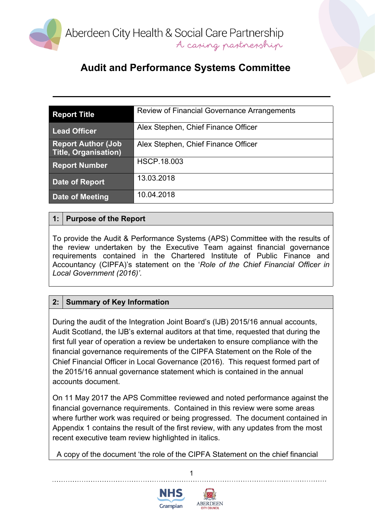

### **Audit and Performance Systems Committee**

| <b>Report Title</b>                                       | Review of Financial Governance Arrangements |
|-----------------------------------------------------------|---------------------------------------------|
| <b>Lead Officer</b>                                       | Alex Stephen, Chief Finance Officer         |
| <b>Report Author (Job)</b><br><b>Title, Organisation)</b> | Alex Stephen, Chief Finance Officer         |
| <b>Report Number</b>                                      | <b>HSCP.18.003</b>                          |
| Date of Report                                            | 13.03.2018                                  |
| Date of Meeting                                           | 10.04.2018                                  |

#### **1: Purpose of the Report**

To provide the Audit & Performance Systems (APS) Committee with the results of the review undertaken by the Executive Team against financial governance requirements contained in the Chartered Institute of Public Finance and Accountancy (CIPFA)'s statement on the '*Role of the Chief Financial Officer in Local Government (2016)'.*

#### **2: Summary of Key Information**

During the audit of the Integration Joint Board's (IJB) 2015/16 annual accounts, Audit Scotland, the IJB's external auditors at that time, requested that during the first full year of operation a review be undertaken to ensure compliance with the financial governance requirements of the CIPFA Statement on the Role of the Chief Financial Officer in Local Governance (2016). This request formed part of the 2015/16 annual governance statement which is contained in the annual accounts document.

On 11 May 2017 the APS Committee reviewed and noted performance against the financial governance requirements. Contained in this review were some areas where further work was required or being progressed. The document contained in Appendix 1 contains the result of the first review, with any updates from the most recent executive team review highlighted in italics.

A copy of the document 'the role of the CIPFA Statement on the chief financial



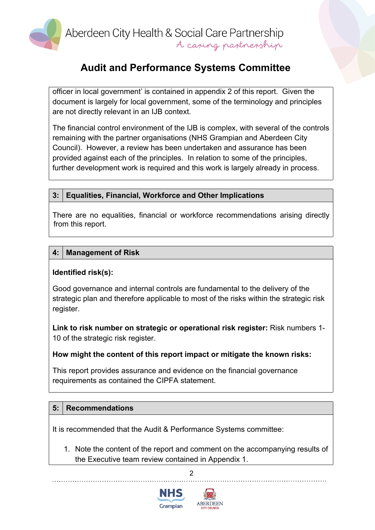

#### **Audit and Performance Systems Committee**

officer in local government' is contained in appendix 2 of this report. Given the document is largely for local government, some of the terminology and principles are not directly relevant in an IJB context.

The financial control environment of the IJB is complex, with several of the controls remaining with the partner organisations (NHS Grampian and Aberdeen City Council). However, a review has been undertaken and assurance has been provided against each of the principles. In relation to some of the principles, further development work is required and this work is largely already in process.

#### **3: Equalities, Financial, Workforce and Other Implications**

There are no equalities, financial or workforce recommendations arising directly from this report.

#### **4: Management of Risk**

#### **Identified risk(s):**

Good governance and internal controls are fundamental to the delivery of the strategic plan and therefore applicable to most of the risks within the strategic risk register.

**Link to risk number on strategic or operational risk register:** Risk numbers 1- 10 of the strategic risk register.

#### **How might the content of this report impact or mitigate the known risks:**

This report provides assurance and evidence on the financial governance requirements as contained the CIPFA statement.

#### **5: Recommendations**

It is recommended that the Audit & Performance Systems committee:

1. Note the content of the report and comment on the accompanying results of the Executive team review contained in Appendix 1.

 $\mathfrak{p}$ 



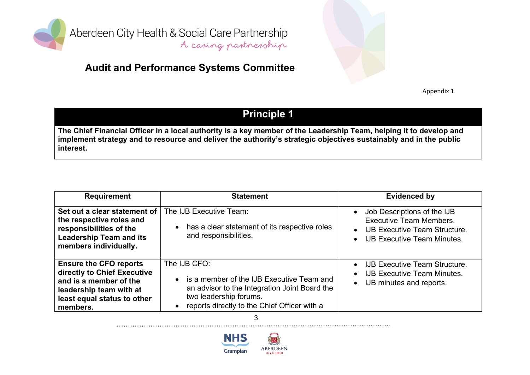

### **Audit and Performance Systems Committee**

Appendix 1

### **Principle 1**

The Chief Financial Officer in a local authority is a key member of the Leadership Team, helping it to develop and implement strategy and to resource and deliver the authority's strategic objectives sustainably and in the public **interest.**

| <b>Requirement</b>                                                                                                                                           | <b>Statement</b>                                                                                                                                                                                    | <b>Evidenced by</b>                                                                                                                                                                |
|--------------------------------------------------------------------------------------------------------------------------------------------------------------|-----------------------------------------------------------------------------------------------------------------------------------------------------------------------------------------------------|------------------------------------------------------------------------------------------------------------------------------------------------------------------------------------|
| Set out a clear statement of<br>the respective roles and<br>responsibilities of the<br><b>Leadership Team and its</b><br>members individually.               | The IJB Executive Team:<br>• has a clear statement of its respective roles<br>and responsibilities.                                                                                                 | Job Descriptions of the IJB<br>$\bullet$<br><b>Executive Team Members.</b><br><b>IJB Executive Team Structure.</b><br>$\bullet$<br><b>IJB Executive Team Minutes.</b><br>$\bullet$ |
| <b>Ensure the CFO reports</b><br>directly to Chief Executive<br>and is a member of the<br>leadership team with at<br>least equal status to other<br>members. | The IJB CFO:<br>• is a member of the IJB Executive Team and<br>an advisor to the Integration Joint Board the<br>two leadership forums.<br>reports directly to the Chief Officer with a<br>$\bullet$ | <b>IJB Executive Team Structure.</b><br>$\bullet$<br><b>IJB Executive Team Minutes.</b><br>$\bullet$<br>IJB minutes and reports.<br>$\bullet$                                      |

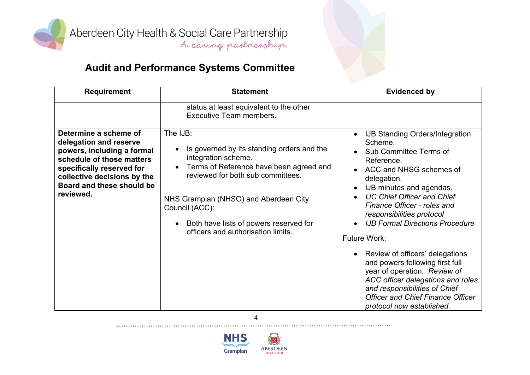

| <b>Requirement</b>                                                                                                                                                                                               | <b>Statement</b>                                                                                                                                                                                                                                                                                                                   | <b>Evidenced by</b>                                                                                                                                                                                                                                                                                                                                                                                                                                                                                                                                                                                                                  |
|------------------------------------------------------------------------------------------------------------------------------------------------------------------------------------------------------------------|------------------------------------------------------------------------------------------------------------------------------------------------------------------------------------------------------------------------------------------------------------------------------------------------------------------------------------|--------------------------------------------------------------------------------------------------------------------------------------------------------------------------------------------------------------------------------------------------------------------------------------------------------------------------------------------------------------------------------------------------------------------------------------------------------------------------------------------------------------------------------------------------------------------------------------------------------------------------------------|
|                                                                                                                                                                                                                  | status at least equivalent to the other<br>Executive Team members.                                                                                                                                                                                                                                                                 |                                                                                                                                                                                                                                                                                                                                                                                                                                                                                                                                                                                                                                      |
| Determine a scheme of<br>delegation and reserve<br>powers, including a formal<br>schedule of those matters<br>specifically reserved for<br>collective decisions by the<br>Board and these should be<br>reviewed. | The IJB:<br>Is governed by its standing orders and the<br>$\bullet$<br>integration scheme.<br>Terms of Reference have been agreed and<br>reviewed for both sub committees.<br>NHS Grampian (NHSG) and Aberdeen City<br>Council (ACC):<br>Both have lists of powers reserved for<br>$\bullet$<br>officers and authorisation limits. | <b>IJB Standing Orders/Integration</b><br>$\bullet$<br>Scheme.<br>Sub Committee Terms of<br>Reference.<br>ACC and NHSG schemes of<br>delegation.<br>IJB minutes and agendas.<br>$\bullet$<br><b>IJC Chief Officer and Chief</b><br>$\bullet$<br>Finance Officer - roles and<br>responsibilities protocol<br><b>IJB Formal Directions Procedure</b><br>$\bullet$<br>Future Work:<br>Review of officers' delegations<br>and powers following first full<br>year of operation. Review of<br>ACC officer delegations and roles<br>and responsibilities of Chief<br><b>Officer and Chief Finance Officer</b><br>protocol now established. |

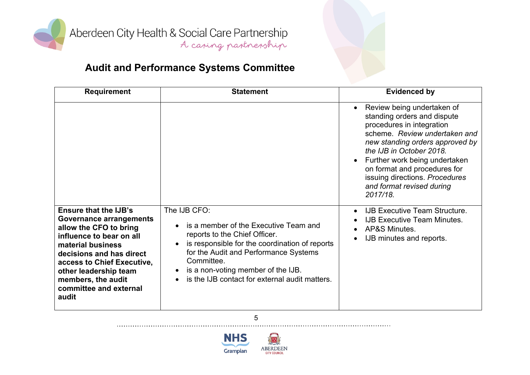

# **Audit and Performance Systems Committee**

| <b>Requirement</b>                                                                                                                                                                                                                                                                    | <b>Statement</b>                                                                                                                                                                                                                                                                        | <b>Evidenced by</b>                                                                                                                                                                                                                                                                                                                             |
|---------------------------------------------------------------------------------------------------------------------------------------------------------------------------------------------------------------------------------------------------------------------------------------|-----------------------------------------------------------------------------------------------------------------------------------------------------------------------------------------------------------------------------------------------------------------------------------------|-------------------------------------------------------------------------------------------------------------------------------------------------------------------------------------------------------------------------------------------------------------------------------------------------------------------------------------------------|
|                                                                                                                                                                                                                                                                                       |                                                                                                                                                                                                                                                                                         | Review being undertaken of<br>$\bullet$<br>standing orders and dispute<br>procedures in integration<br>scheme. Review undertaken and<br>new standing orders approved by<br>the IJB in October 2018.<br>Further work being undertaken<br>on format and procedures for<br>issuing directions. Procedures<br>and format revised during<br>2017/18. |
| <b>Ensure that the IJB's</b><br><b>Governance arrangements</b><br>allow the CFO to bring<br>influence to bear on all<br>material business<br>decisions and has direct<br>access to Chief Executive,<br>other leadership team<br>members, the audit<br>committee and external<br>audit | The IJB CFO:<br>is a member of the Executive Team and<br>reports to the Chief Officer.<br>is responsible for the coordination of reports<br>for the Audit and Performance Systems<br>Committee.<br>is a non-voting member of the IJB.<br>is the IJB contact for external audit matters. | <b>IJB Executive Team Structure.</b><br>$\bullet$<br><b>IJB Executive Team Minutes.</b><br>AP&S Minutes.<br>$\bullet$<br>IJB minutes and reports.<br>$\bullet$                                                                                                                                                                                  |

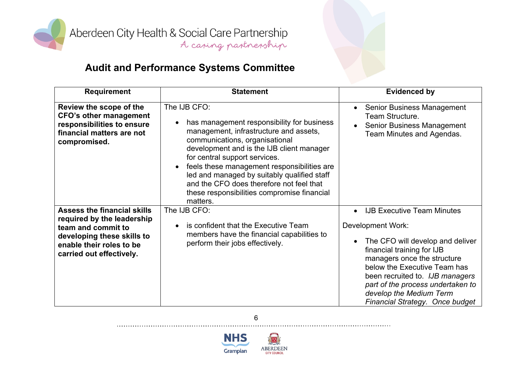

| <b>Requirement</b>                                                                                                                                                           | <b>Statement</b>                                                                                                                                                                                                                                                                                                                                                                                                                                    | <b>Evidenced by</b>                                                                                                                                                                                                                                                                                                                                     |
|------------------------------------------------------------------------------------------------------------------------------------------------------------------------------|-----------------------------------------------------------------------------------------------------------------------------------------------------------------------------------------------------------------------------------------------------------------------------------------------------------------------------------------------------------------------------------------------------------------------------------------------------|---------------------------------------------------------------------------------------------------------------------------------------------------------------------------------------------------------------------------------------------------------------------------------------------------------------------------------------------------------|
| Review the scope of the<br><b>CFO's other management</b><br>responsibilities to ensure<br>financial matters are not<br>compromised.                                          | The IJB CFO:<br>has management responsibility for business<br>$\bullet$<br>management, infrastructure and assets,<br>communications, organisational<br>development and is the IJB client manager<br>for central support services.<br>feels these management responsibilities are<br>$\bullet$<br>led and managed by suitably qualified staff<br>and the CFO does therefore not feel that<br>these responsibilities compromise financial<br>matters. | Senior Business Management<br>$\bullet$<br>Team Structure.<br><b>Senior Business Management</b><br>$\bullet$<br>Team Minutes and Agendas.                                                                                                                                                                                                               |
| <b>Assess the financial skills</b><br>required by the leadership<br>team and commit to<br>developing these skills to<br>enable their roles to be<br>carried out effectively. | The IJB CFO:<br>is confident that the Executive Team<br>$\bullet$<br>members have the financial capabilities to<br>perform their jobs effectively.                                                                                                                                                                                                                                                                                                  | <b>IJB Executive Team Minutes</b><br>$\bullet$<br>Development Work:<br>The CFO will develop and deliver<br>$\bullet$<br>financial training for IJB<br>managers once the structure<br>below the Executive Team has<br>been recruited to. IJB managers<br>part of the process undertaken to<br>develop the Medium Term<br>Financial Strategy. Once budget |



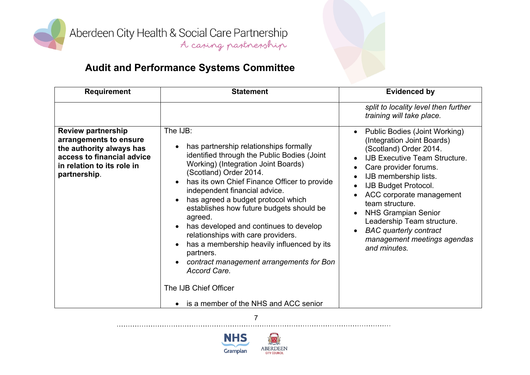

# **Audit and Performance Systems Committee**

| <b>Requirement</b>                                                                                                                                          | <b>Statement</b>                                                                                                                                                                                                                                                                                                                                                                                                                                                                                                                                                                                                                                                              | <b>Evidenced by</b>                                                                                                                                                                                                                                                                                                                                                                                             |
|-------------------------------------------------------------------------------------------------------------------------------------------------------------|-------------------------------------------------------------------------------------------------------------------------------------------------------------------------------------------------------------------------------------------------------------------------------------------------------------------------------------------------------------------------------------------------------------------------------------------------------------------------------------------------------------------------------------------------------------------------------------------------------------------------------------------------------------------------------|-----------------------------------------------------------------------------------------------------------------------------------------------------------------------------------------------------------------------------------------------------------------------------------------------------------------------------------------------------------------------------------------------------------------|
|                                                                                                                                                             |                                                                                                                                                                                                                                                                                                                                                                                                                                                                                                                                                                                                                                                                               | split to locality level then further<br>training will take place.                                                                                                                                                                                                                                                                                                                                               |
| <b>Review partnership</b><br>arrangements to ensure<br>the authority always has<br>access to financial advice<br>in relation to its role in<br>partnership. | The IJB:<br>has partnership relationships formally<br>$\bullet$<br>identified through the Public Bodies (Joint<br>Working) (Integration Joint Boards)<br>(Scotland) Order 2014.<br>has its own Chief Finance Officer to provide<br>$\bullet$<br>independent financial advice.<br>has agreed a budget protocol which<br>$\bullet$<br>establishes how future budgets should be<br>agreed.<br>has developed and continues to develop<br>relationships with care providers.<br>has a membership heavily influenced by its<br>partners.<br>contract management arrangements for Bon<br>Accord Care.<br>The IJB Chief Officer<br>is a member of the NHS and ACC senior<br>$\bullet$ | Public Bodies (Joint Working)<br>$\bullet$<br>(Integration Joint Boards)<br>(Scotland) Order 2014.<br><b>IJB Executive Team Structure.</b><br>Care provider forums.<br>IJB membership lists.<br>IJB Budget Protocol.<br>ACC corporate management<br>team structure.<br><b>NHS Grampian Senior</b><br>Leadership Team structure.<br><b>BAC</b> quarterly contract<br>management meetings agendas<br>and minutes. |

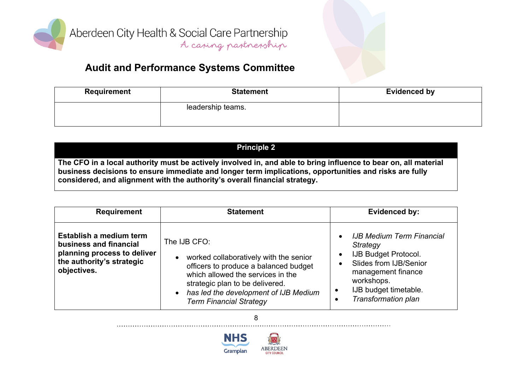

### **Audit and Performance Systems Committee**

| Requirement | <b>Statement</b>  | Evidenced by |
|-------------|-------------------|--------------|
|             | leadership teams. |              |

#### **Principle 2** The CFO in a local authority must be actively involved in, and able to bring influence to bear on, all material **business decisions to ensure immediate and longer term implications, opportunities and risks are fully considered, and alignment with the authority's overall financial strategy.**

| <b>Requirement</b>                                                                                                           | <b>Statement</b>                                                                                                                                                                                                                                   | Evidenced by:                                                                                                                                                                                                                                 |
|------------------------------------------------------------------------------------------------------------------------------|----------------------------------------------------------------------------------------------------------------------------------------------------------------------------------------------------------------------------------------------------|-----------------------------------------------------------------------------------------------------------------------------------------------------------------------------------------------------------------------------------------------|
| Establish a medium term<br>business and financial<br>planning process to deliver<br>the authority's strategic<br>objectives. | The IJB CFO:<br>worked collaboratively with the senior<br>officers to produce a balanced budget<br>which allowed the services in the<br>strategic plan to be delivered.<br>has led the development of IJB Medium<br><b>Term Financial Strategy</b> | <b>IJB Medium Term Financial</b><br>$\bullet$<br>Strategy<br><b>IJB Budget Protocol.</b><br>$\bullet$<br>Slides from IJB/Senior<br>$\bullet$<br>management finance<br>workshops.<br>IJB budget timetable.<br>$\bullet$<br>Transformation plan |



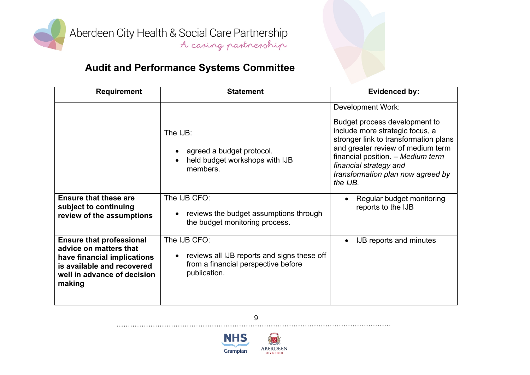

| <b>Requirement</b>                                                                                                                                              | <b>Statement</b>                                                                                                   | <b>Evidenced by:</b>                                                                                                                                                                                                                                                                       |
|-----------------------------------------------------------------------------------------------------------------------------------------------------------------|--------------------------------------------------------------------------------------------------------------------|--------------------------------------------------------------------------------------------------------------------------------------------------------------------------------------------------------------------------------------------------------------------------------------------|
|                                                                                                                                                                 | The IJB:<br>agreed a budget protocol.<br>held budget workshops with IJB<br>members.                                | <b>Development Work:</b><br>Budget process development to<br>include more strategic focus, a<br>stronger link to transformation plans<br>and greater review of medium term<br>financial position. - Medium term<br>financial strategy and<br>transformation plan now agreed by<br>the IJB. |
| <b>Ensure that these are</b><br>subject to continuing<br>review of the assumptions                                                                              | The IJB CFO:<br>reviews the budget assumptions through<br>the budget monitoring process.                           | Regular budget monitoring<br>reports to the IJB                                                                                                                                                                                                                                            |
| <b>Ensure that professional</b><br>advice on matters that<br>have financial implications<br>is available and recovered<br>well in advance of decision<br>making | The IJB CFO:<br>reviews all IJB reports and signs these off<br>from a financial perspective before<br>publication. | <b>IJB</b> reports and minutes                                                                                                                                                                                                                                                             |



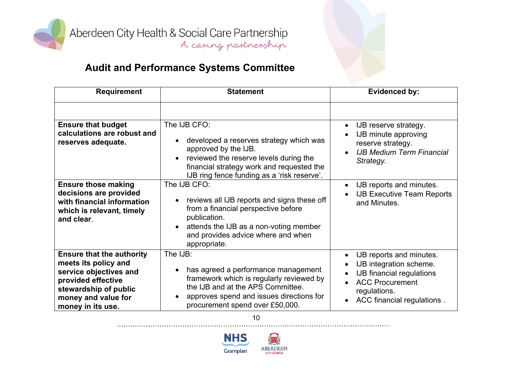

# **Audit and Performance Systems Committee**

| <b>Requirement</b>                                                                                                                                                            | <b>Statement</b>                                                                                                                                                                                                   | <b>Evidenced by:</b>                                                                                                                                     |
|-------------------------------------------------------------------------------------------------------------------------------------------------------------------------------|--------------------------------------------------------------------------------------------------------------------------------------------------------------------------------------------------------------------|----------------------------------------------------------------------------------------------------------------------------------------------------------|
|                                                                                                                                                                               | The IJB CFO:                                                                                                                                                                                                       |                                                                                                                                                          |
| <b>Ensure that budget</b><br>calculations are robust and<br>reserves adequate.                                                                                                | developed a reserves strategy which was<br>approved by the IJB.<br>reviewed the reserve levels during the<br>financial strategy work and requested the<br>IJB ring fence funding as a 'risk reserve'.              | IJB reserve strategy.<br>IJB minute approving<br>reserve strategy.<br><b>IJB Medium Term Financial</b><br>Strategy.                                      |
| <b>Ensure those making</b><br>decisions are provided<br>with financial information<br>which is relevant, timely<br>and clear.                                                 | The IJB CFO:<br>reviews all IJB reports and signs these off<br>from a financial perspective before<br>publication.<br>attends the IJB as a non-voting member<br>and provides advice where and when<br>appropriate. | IJB reports and minutes.<br><b>IJB Executive Team Reports</b><br>and Minutes.                                                                            |
| <b>Ensure that the authority</b><br>meets its policy and<br>service objectives and<br>provided effective<br>stewardship of public<br>money and value for<br>money in its use. | The IJB:<br>has agreed a performance management<br>framework which is regularly reviewed by<br>the IJB and at the APS Committee.<br>approves spend and issues directions for<br>procurement spend over £50,000.    | IJB reports and minutes.<br>IJB integration scheme.<br>IJB financial regulations<br><b>ACC Procurement</b><br>regulations.<br>ACC financial regulations. |

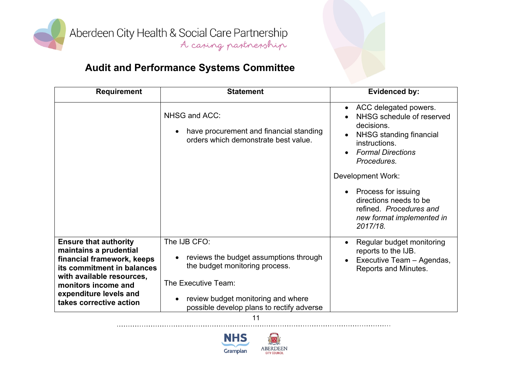

# **Audit and Performance Systems Committee**

| <b>Requirement</b>                                                                                                                                                                                                          | <b>Statement</b>                                                                                                                                                                                   | <b>Evidenced by:</b>                                                                                                                                                                                                                                                                                     |
|-----------------------------------------------------------------------------------------------------------------------------------------------------------------------------------------------------------------------------|----------------------------------------------------------------------------------------------------------------------------------------------------------------------------------------------------|----------------------------------------------------------------------------------------------------------------------------------------------------------------------------------------------------------------------------------------------------------------------------------------------------------|
|                                                                                                                                                                                                                             | NHSG and ACC:<br>have procurement and financial standing<br>orders which demonstrate best value.                                                                                                   | ACC delegated powers.<br>NHSG schedule of reserved<br>decisions.<br>NHSG standing financial<br>instructions.<br><b>Formal Directions</b><br>Procedures.<br><b>Development Work:</b><br>Process for issuing<br>directions needs to be<br>refined. Procedures and<br>new format implemented in<br>2017/18. |
| <b>Ensure that authority</b><br>maintains a prudential<br>financial framework, keeps<br>its commitment in balances<br>with available resources,<br>monitors income and<br>expenditure levels and<br>takes corrective action | The IJB CFO:<br>reviews the budget assumptions through<br>the budget monitoring process.<br>The Executive Team:<br>review budget monitoring and where<br>possible develop plans to rectify adverse | Regular budget monitoring<br>reports to the IJB.<br>Executive Team - Agendas,<br>Reports and Minutes.                                                                                                                                                                                                    |

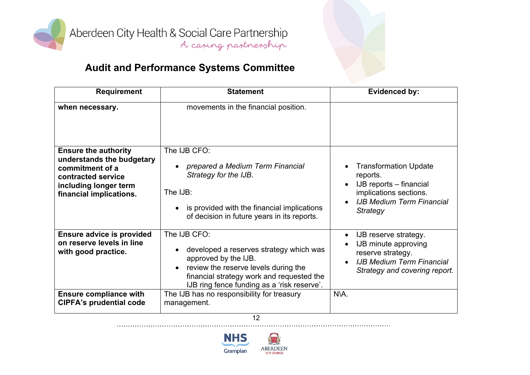

# **Audit and Performance Systems Committee**

| <b>Requirement</b>                                                                                                                                    | <b>Statement</b>                                                                                                                                                                                                    | <b>Evidenced by:</b>                                                                                                                           |
|-------------------------------------------------------------------------------------------------------------------------------------------------------|---------------------------------------------------------------------------------------------------------------------------------------------------------------------------------------------------------------------|------------------------------------------------------------------------------------------------------------------------------------------------|
| when necessary.                                                                                                                                       | movements in the financial position.                                                                                                                                                                                |                                                                                                                                                |
| <b>Ensure the authority</b><br>understands the budgetary<br>commitment of a<br>contracted service<br>including longer term<br>financial implications. | The IJB CFO:<br>prepared a Medium Term Financial<br>Strategy for the IJB.<br>The IJB:<br>is provided with the financial implications<br>of decision in future years in its reports.                                 | <b>Transformation Update</b><br>reports.<br>IJB reports – financial<br>implications sections.<br><b>IJB Medium Term Financial</b><br>Strategy  |
| <b>Ensure advice is provided</b><br>on reserve levels in line<br>with good practice.                                                                  | The IJB CFO:<br>developed a reserves strategy which was<br>approved by the IJB.<br>review the reserve levels during the<br>financial strategy work and requested the<br>IJB ring fence funding as a 'risk reserve'. | IJB reserve strategy.<br><b>IJB</b> minute approving<br>reserve strategy.<br><b>IJB Medium Term Financial</b><br>Strategy and covering report. |
| <b>Ensure compliance with</b><br><b>CIPFA's prudential code</b>                                                                                       | The IJB has no responsibility for treasury<br>management.                                                                                                                                                           | NVA.                                                                                                                                           |

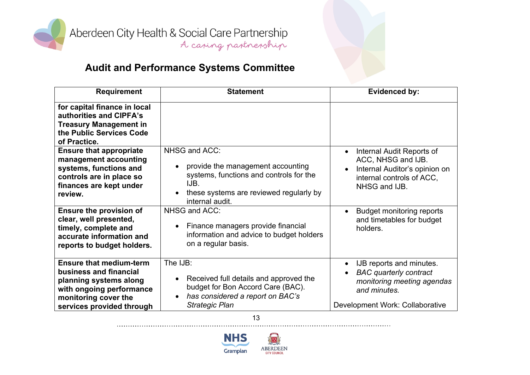

# **Audit and Performance Systems Committee**

| <b>Requirement</b>                                                                                                                                                  | <b>Statement</b>                                                                                                                                                    | <b>Evidenced by:</b>                                                                                                                       |
|---------------------------------------------------------------------------------------------------------------------------------------------------------------------|---------------------------------------------------------------------------------------------------------------------------------------------------------------------|--------------------------------------------------------------------------------------------------------------------------------------------|
| for capital finance in local<br>authorities and CIPFA's<br><b>Treasury Management in</b><br>the Public Services Code<br>of Practice.                                |                                                                                                                                                                     |                                                                                                                                            |
| <b>Ensure that appropriate</b><br>management accounting<br>systems, functions and<br>controls are in place so<br>finances are kept under<br>review.                 | NHSG and ACC:<br>provide the management accounting<br>systems, functions and controls for the<br>IJB.<br>these systems are reviewed regularly by<br>internal audit. | Internal Audit Reports of<br>ACC, NHSG and IJB.<br>Internal Auditor's opinion on<br>internal controls of ACC.<br>NHSG and IJB.             |
| <b>Ensure the provision of</b><br>clear, well presented,<br>timely, complete and<br>accurate information and<br>reports to budget holders.                          | NHSG and ACC:<br>Finance managers provide financial<br>$\bullet$<br>information and advice to budget holders<br>on a regular basis.                                 | <b>Budget monitoring reports</b><br>and timetables for budget<br>holders.                                                                  |
| <b>Ensure that medium-term</b><br>business and financial<br>planning systems along<br>with ongoing performance<br>monitoring cover the<br>services provided through | The IJB:<br>Received full details and approved the<br>$\bullet$<br>budget for Bon Accord Care (BAC).<br>has considered a report on BAC's<br><b>Strategic Plan</b>   | IJB reports and minutes.<br><b>BAC</b> quarterly contract<br>monitoring meeting agendas<br>and minutes.<br>Development Work: Collaborative |

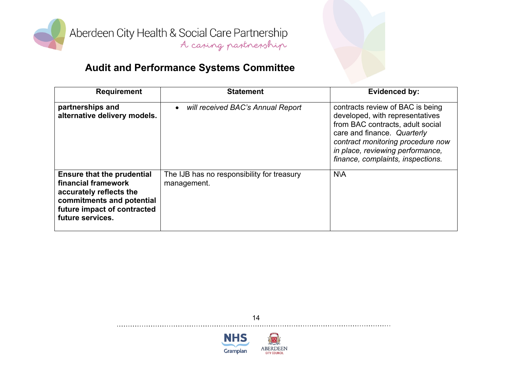

# **Audit and Performance Systems Committee**

| <b>Requirement</b>                                                                                                                                                  | <b>Statement</b>                                          | <b>Evidenced by:</b>                                                                                                                                                                                                                                 |
|---------------------------------------------------------------------------------------------------------------------------------------------------------------------|-----------------------------------------------------------|------------------------------------------------------------------------------------------------------------------------------------------------------------------------------------------------------------------------------------------------------|
| partnerships and<br>alternative delivery models.                                                                                                                    | will received BAC's Annual Report<br>$\bullet$            | contracts review of BAC is being<br>developed, with representatives<br>from BAC contracts, adult social<br>care and finance. Quarterly<br>contract monitoring procedure now<br>in place, reviewing performance,<br>finance, complaints, inspections. |
| <b>Ensure that the prudential</b><br>financial framework<br>accurately reflects the<br>commitments and potential<br>future impact of contracted<br>future services. | The IJB has no responsibility for treasury<br>management. | <b>NVA</b>                                                                                                                                                                                                                                           |

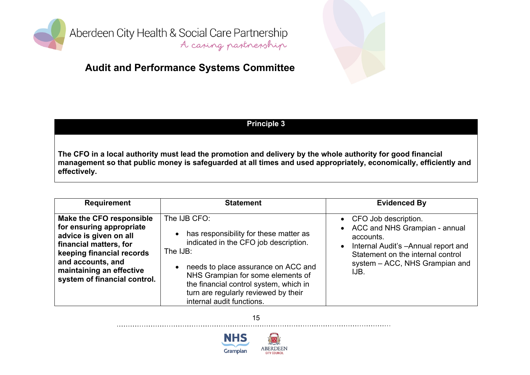

### **Audit and Performance Systems Committee**



#### **Principle 3**

The CFO in a local authority must lead the promotion and delivery by the whole authority for good financial management so that public money is safeguarded at all times and used appropriately, economically, efficiently and **effectively.**

| <b>Requirement</b>                                                                                                                                                                                                     | <b>Statement</b>                                                                                                                                                                                                                                                                                                                 | <b>Evidenced By</b>                                                                                                                                                                                       |
|------------------------------------------------------------------------------------------------------------------------------------------------------------------------------------------------------------------------|----------------------------------------------------------------------------------------------------------------------------------------------------------------------------------------------------------------------------------------------------------------------------------------------------------------------------------|-----------------------------------------------------------------------------------------------------------------------------------------------------------------------------------------------------------|
| Make the CFO responsible<br>for ensuring appropriate<br>advice is given on all<br>financial matters, for<br>keeping financial records<br>and accounts, and<br>maintaining an effective<br>system of financial control. | The IJB CFO:<br>has responsibility for these matter as<br>$\bullet$<br>indicated in the CFO job description.<br>The IJB:<br>needs to place assurance on ACC and<br>$\bullet$<br>NHS Grampian for some elements of<br>the financial control system, which in<br>turn are regularly reviewed by their<br>internal audit functions. | • CFO Job description.<br>• ACC and NHS Grampian - annual<br>accounts.<br>Internal Audit's -Annual report and<br>$\bullet$<br>Statement on the internal control<br>system – ACC, NHS Grampian and<br>IJB. |

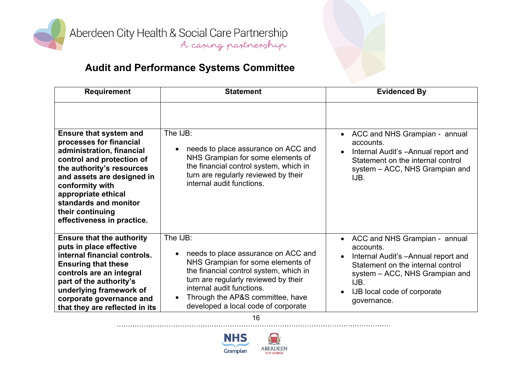

# **Audit and Performance Systems Committee**

| <b>Requirement</b>                                                                                                                                                                                                                                                                                 | <b>Statement</b>                                                                                                                                                                                                                                                                                         | <b>Evidenced By</b>                                                                                                                                                                                                                                    |
|----------------------------------------------------------------------------------------------------------------------------------------------------------------------------------------------------------------------------------------------------------------------------------------------------|----------------------------------------------------------------------------------------------------------------------------------------------------------------------------------------------------------------------------------------------------------------------------------------------------------|--------------------------------------------------------------------------------------------------------------------------------------------------------------------------------------------------------------------------------------------------------|
| <b>Ensure that system and</b><br>processes for financial<br>administration, financial<br>control and protection of<br>the authority's resources<br>and assets are designed in<br>conformity with<br>appropriate ethical<br>standards and monitor<br>their continuing<br>effectiveness in practice. | The IJB:<br>needs to place assurance on ACC and<br>$\bullet$<br>NHS Grampian for some elements of<br>the financial control system, which in<br>turn are regularly reviewed by their<br>internal audit functions.                                                                                         | ACC and NHS Grampian - annual<br>$\bullet$<br>accounts.<br>Internal Audit's - Annual report and<br>Statement on the internal control<br>system - ACC, NHS Grampian and<br>IJB.                                                                         |
| <b>Ensure that the authority</b><br>puts in place effective<br>internal financial controls.<br><b>Ensuring that these</b><br>controls are an integral<br>part of the authority's<br>underlying framework of<br>corporate governance and<br>that they are reflected in its                          | The IJB:<br>needs to place assurance on ACC and<br>$\bullet$<br>NHS Grampian for some elements of<br>the financial control system, which in<br>turn are regularly reviewed by their<br>internal audit functions.<br>Through the AP&S committee, have<br>$\bullet$<br>developed a local code of corporate | ACC and NHS Grampian - annual<br>$\bullet$<br>accounts.<br>Internal Audit's - Annual report and<br>$\bullet$<br>Statement on the internal control<br>system - ACC, NHS Grampian and<br>IJB.<br>IJB local code of corporate<br>$\bullet$<br>governance. |

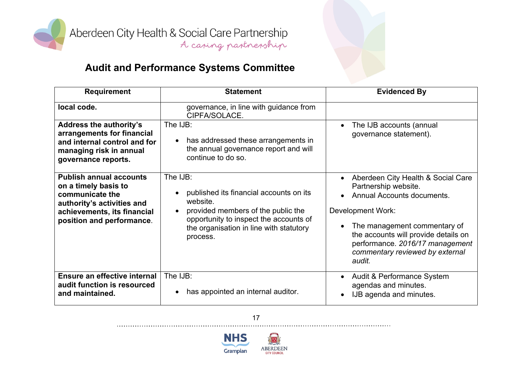

| <b>Requirement</b>                                                                                                                                                  | <b>Statement</b>                                                                                                                                                                                                    | <b>Evidenced By</b>                                                                                                                                                                                                                                                                |
|---------------------------------------------------------------------------------------------------------------------------------------------------------------------|---------------------------------------------------------------------------------------------------------------------------------------------------------------------------------------------------------------------|------------------------------------------------------------------------------------------------------------------------------------------------------------------------------------------------------------------------------------------------------------------------------------|
| local code.                                                                                                                                                         | governance, in line with guidance from<br>CIPFA/SOLACE.                                                                                                                                                             |                                                                                                                                                                                                                                                                                    |
| <b>Address the authority's</b><br>arrangements for financial<br>and internal control and for<br>managing risk in annual<br>governance reports.                      | The IJB:<br>has addressed these arrangements in<br>$\bullet$<br>the annual governance report and will<br>continue to do so.                                                                                         | The IJB accounts (annual<br>$\bullet$<br>governance statement).                                                                                                                                                                                                                    |
| <b>Publish annual accounts</b><br>on a timely basis to<br>communicate the<br>authority's activities and<br>achievements, its financial<br>position and performance. | The IJB:<br>published its financial accounts on its<br>$\bullet$<br>website.<br>provided members of the public the<br>opportunity to inspect the accounts of<br>the organisation in line with statutory<br>process. | Aberdeen City Health & Social Care<br>$\bullet$<br>Partnership website.<br>Annual Accounts documents.<br>Development Work:<br>The management commentary of<br>the accounts will provide details on<br>performance. 2016/17 management<br>commentary reviewed by external<br>audit. |
| Ensure an effective internal<br>audit function is resourced<br>and maintained.                                                                                      | The IJB:<br>has appointed an internal auditor.                                                                                                                                                                      | Audit & Performance System<br>$\bullet$<br>agendas and minutes.<br>IJB agenda and minutes.                                                                                                                                                                                         |



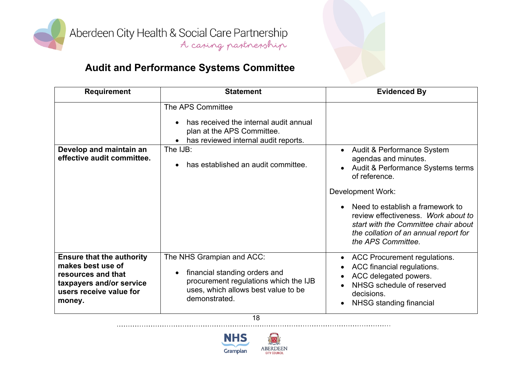

# **Audit and Performance Systems Committee**

| <b>Requirement</b>                                                                                                                           | <b>Statement</b>                                                                                                                                                         | <b>Evidenced By</b>                                                                                                                                                                                        |
|----------------------------------------------------------------------------------------------------------------------------------------------|--------------------------------------------------------------------------------------------------------------------------------------------------------------------------|------------------------------------------------------------------------------------------------------------------------------------------------------------------------------------------------------------|
|                                                                                                                                              | The APS Committee<br>has received the internal audit annual<br>$\bullet$<br>plan at the APS Committee.<br>has reviewed internal audit reports.<br>The IJB:               |                                                                                                                                                                                                            |
| Develop and maintain an<br>effective audit committee.                                                                                        | has established an audit committee.<br>$\bullet$                                                                                                                         | Audit & Performance System<br>agendas and minutes.<br>Audit & Performance Systems terms<br>of reference.                                                                                                   |
|                                                                                                                                              |                                                                                                                                                                          | <b>Development Work:</b><br>Need to establish a framework to<br>review effectiveness. Work about to<br>start with the Committee chair about<br>the collation of an annual report for<br>the APS Committee. |
| <b>Ensure that the authority</b><br>makes best use of<br>resources and that<br>taxpayers and/or service<br>users receive value for<br>money. | The NHS Grampian and ACC:<br>financial standing orders and<br>$\bullet$<br>procurement regulations which the IJB<br>uses, which allows best value to be<br>demonstrated. | <b>ACC Procurement regulations.</b><br>$\bullet$<br>ACC financial regulations.<br>ACC delegated powers.<br>$\bullet$<br>NHSG schedule of reserved<br>decisions.<br>NHSG standing financial                 |

18

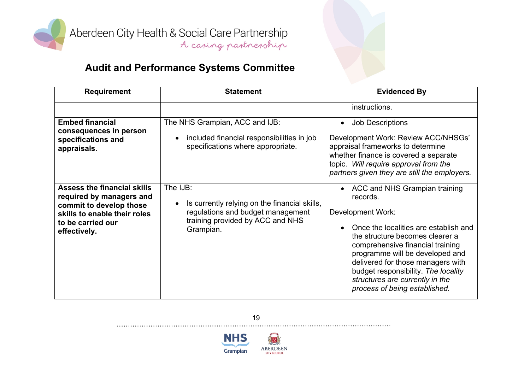

| <b>Requirement</b>                                                                                                                                             | <b>Statement</b>                                                                                                                                | <b>Evidenced By</b>                                                                                                                                                                                                                                                                                                                                                 |
|----------------------------------------------------------------------------------------------------------------------------------------------------------------|-------------------------------------------------------------------------------------------------------------------------------------------------|---------------------------------------------------------------------------------------------------------------------------------------------------------------------------------------------------------------------------------------------------------------------------------------------------------------------------------------------------------------------|
|                                                                                                                                                                |                                                                                                                                                 | instructions.                                                                                                                                                                                                                                                                                                                                                       |
| <b>Embed financial</b><br>consequences in person<br>specifications and<br>appraisals.                                                                          | The NHS Grampian, ACC and IJB:<br>included financial responsibilities in job<br>$\bullet$<br>specifications where appropriate.                  | <b>Job Descriptions</b><br>$\bullet$<br>Development Work: Review ACC/NHSGs'<br>appraisal frameworks to determine<br>whether finance is covered a separate<br>topic. Will require approval from the<br>partners given they are still the employers.                                                                                                                  |
| <b>Assess the financial skills</b><br>required by managers and<br>commit to develop those<br>skills to enable their roles<br>to be carried our<br>effectively. | The IJB:<br>Is currently relying on the financial skills,<br>regulations and budget management<br>training provided by ACC and NHS<br>Grampian. | • ACC and NHS Grampian training<br>records.<br>Development Work:<br>Once the localities are establish and<br>the structure becomes clearer a<br>comprehensive financial training<br>programme will be developed and<br>delivered for those managers with<br>budget responsibility. The locality<br>structures are currently in the<br>process of being established. |



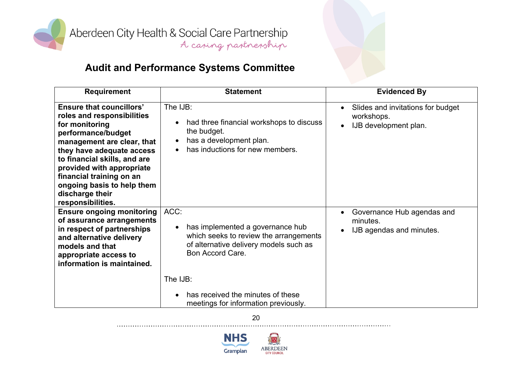

# **Audit and Performance Systems Committee**

| <b>Requirement</b>                                                                                                                                                                                                                                                                                                              | <b>Statement</b>                                                                                                                                              | <b>Evidenced By</b>                                                             |
|---------------------------------------------------------------------------------------------------------------------------------------------------------------------------------------------------------------------------------------------------------------------------------------------------------------------------------|---------------------------------------------------------------------------------------------------------------------------------------------------------------|---------------------------------------------------------------------------------|
| <b>Ensure that councillors'</b><br>roles and responsibilities<br>for monitoring<br>performance/budget<br>management are clear, that<br>they have adequate access<br>to financial skills, and are<br>provided with appropriate<br>financial training on an<br>ongoing basis to help them<br>discharge their<br>responsibilities. | The IJB:<br>had three financial workshops to discuss<br>$\bullet$<br>the budget.<br>has a development plan.<br>$\bullet$<br>has inductions for new members.   | Slides and invitations for budget<br>workshops.<br>IJB development plan.        |
| <b>Ensure ongoing monitoring</b><br>of assurance arrangements<br>in respect of partnerships<br>and alternative delivery<br>models and that<br>appropriate access to<br>information is maintained.                                                                                                                               | ACC:<br>has implemented a governance hub<br>$\bullet$<br>which seeks to review the arrangements<br>of alternative delivery models such as<br>Bon Accord Care. | Governance Hub agendas and<br>$\bullet$<br>minutes.<br>IJB agendas and minutes. |
|                                                                                                                                                                                                                                                                                                                                 | The IJB:<br>has received the minutes of these<br>$\bullet$<br>meetings for information previously.                                                            |                                                                                 |

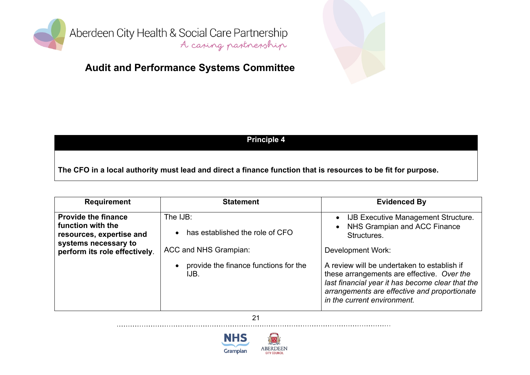

### **Audit and Performance Systems Committee**



#### **Principle 4**

The CFO in a local authority must lead and direct a finance function that is resources to be fit for purpose.

| <b>Requirement</b>                                                                                                                   | <b>Statement</b>                                                       | <b>Evidenced By</b>                                                                                                                                                                                                          |
|--------------------------------------------------------------------------------------------------------------------------------------|------------------------------------------------------------------------|------------------------------------------------------------------------------------------------------------------------------------------------------------------------------------------------------------------------------|
| <b>Provide the finance</b><br>function with the<br>resources, expertise and<br>systems necessary to<br>perform its role effectively. | The IJB:<br>• has established the role of CFO<br>ACC and NHS Grampian: | • IJB Executive Management Structure.<br>NHS Grampian and ACC Finance<br>$\bullet$<br>Structures.<br>Development Work:                                                                                                       |
|                                                                                                                                      | provide the finance functions for the<br>$\bullet$<br>IJB.             | A review will be undertaken to establish if<br>these arrangements are effective. Over the<br>last financial year it has become clear that the<br>arrangements are effective and proportionate<br>in the current environment. |

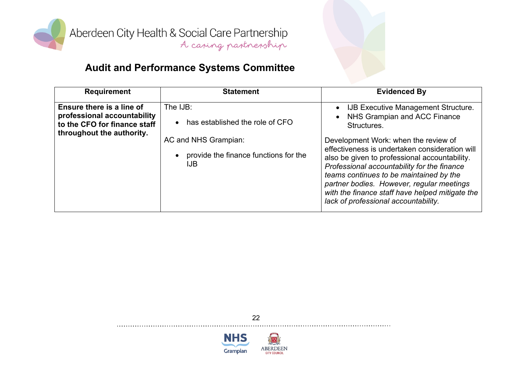

| <b>Requirement</b>                                                                                                    | <b>Statement</b>                                                                                                                   | <b>Evidenced By</b>                                                                                                                                                                                                                                                                                                                                                                                                                                               |
|-----------------------------------------------------------------------------------------------------------------------|------------------------------------------------------------------------------------------------------------------------------------|-------------------------------------------------------------------------------------------------------------------------------------------------------------------------------------------------------------------------------------------------------------------------------------------------------------------------------------------------------------------------------------------------------------------------------------------------------------------|
| Ensure there is a line of<br>professional accountability<br>to the CFO for finance staff<br>throughout the authority. | The IJB:<br>• has established the role of CFO<br>AC and NHS Grampian:<br>provide the finance functions for the<br>$\bullet$<br>IJB | • IJB Executive Management Structure.<br>NHS Grampian and ACC Finance<br>Structures.<br>Development Work: when the review of<br>effectiveness is undertaken consideration will<br>also be given to professional accountability.<br>Professional accountability for the finance<br>teams continues to be maintained by the<br>partner bodies. However, regular meetings<br>with the finance staff have helped mitigate the<br>lack of professional accountability. |



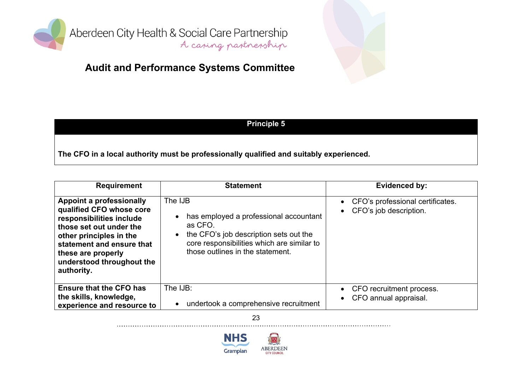

### **Audit and Performance Systems Committee**



#### **Principle 5**

**The CFO in a local authority must be professionally qualified and suitably experienced.**

| <b>Requirement</b>                                                                                                                                                                                                                   | <b>Statement</b>                                                                                                                                                                                                   | Evidenced by:                                              |
|--------------------------------------------------------------------------------------------------------------------------------------------------------------------------------------------------------------------------------------|--------------------------------------------------------------------------------------------------------------------------------------------------------------------------------------------------------------------|------------------------------------------------------------|
| Appoint a professionally<br>qualified CFO whose core<br>responsibilities include<br>those set out under the<br>other principles in the<br>statement and ensure that<br>these are properly<br>understood throughout the<br>authority. | The IJB<br>has employed a professional accountant<br>$\bullet$<br>as CFO.<br>the CFO's job description sets out the<br>$\bullet$<br>core responsibilities which are similar to<br>those outlines in the statement. | CFO's professional certificates.<br>CFO's job description. |
| <b>Ensure that the CFO has</b><br>the skills, knowledge,<br>experience and resource to                                                                                                                                               | The IJB:<br>undertook a comprehensive recruitment<br>$\bullet$                                                                                                                                                     | CFO recruitment process.<br>CFO annual appraisal.          |